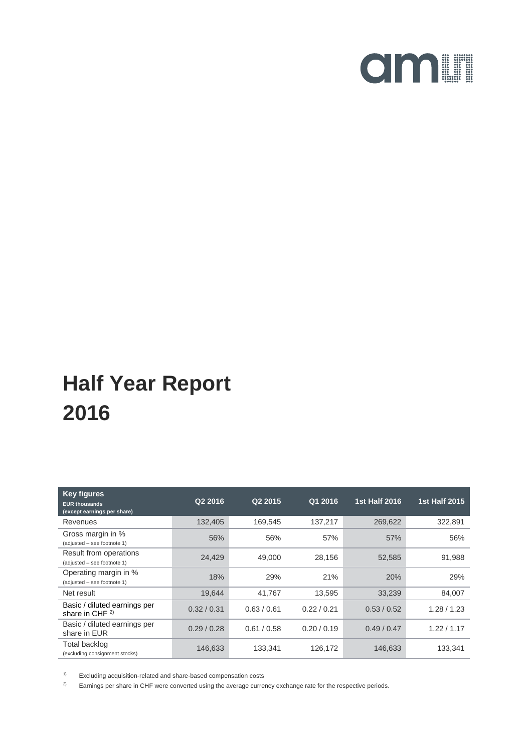

| <b>Key figures</b><br><b>EUR thousands</b><br>(except earnings per share) | Q2 2016     | Q2 2015     | Q1 2016     | <b>1st Half 2016</b> | <b>1st Half 2015</b> |
|---------------------------------------------------------------------------|-------------|-------------|-------------|----------------------|----------------------|
| Revenues                                                                  | 132,405     | 169,545     | 137,217     | 269,622              | 322,891              |
| Gross margin in %<br>(adjusted - see footnote 1)                          | 56%         | 56%         | 57%         | 57%                  | 56%                  |
| Result from operations<br>(adjusted - see footnote 1)                     | 24,429      | 49,000      | 28,156      | 52,585               | 91,988               |
| Operating margin in %<br>(adjusted - see footnote 1)                      | 18%         | 29%         | 21%         | <b>20%</b>           | 29%                  |
| Net result                                                                | 19,644      | 41,767      | 13,595      | 33,239               | 84,007               |
| Basic / diluted earnings per<br>share in CHF $^{2)}$                      | 0.32 / 0.31 | 0.63 / 0.61 | 0.22 / 0.21 | 0.53 / 0.52          | 1.28/1.23            |
| Basic / diluted earnings per<br>share in EUR                              | 0.29/0.28   | 0.61 / 0.58 | 0.20 / 0.19 | 0.49/0.47            | 1.22 / 1.17          |
| Total backlog<br>(excluding consignment stocks)                           | 146,633     | 133,341     | 126,172     | 146,633              | 133,341              |

1) Excluding acquisition-related and share-based compensation costs

<sup>2)</sup> Earnings per share in CHF were converted using the average currency exchange rate for the respective periods.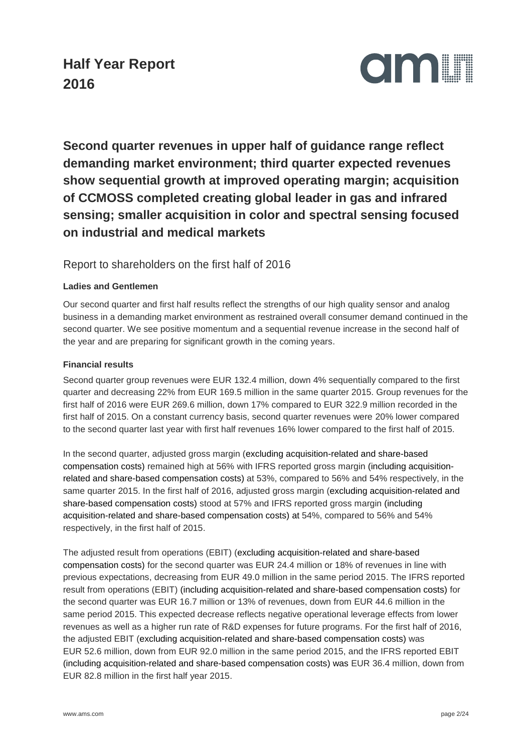

**Second quarter revenues in upper half of guidance range reflect demanding market environment; third quarter expected revenues show sequential growth at improved operating margin; acquisition of CCMOSS completed creating global leader in gas and infrared sensing; smaller acquisition in color and spectral sensing focused on industrial and medical markets**

#### Report to shareholders on the first half of 2016

#### **Ladies and Gentlemen**

Our second quarter and first half results reflect the strengths of our high quality sensor and analog business in a demanding market environment as restrained overall consumer demand continued in the second quarter. We see positive momentum and a sequential revenue increase in the second half of the year and are preparing for significant growth in the coming years.

#### **Financial results**

Second quarter group revenues were EUR 132.4 million, down 4% sequentially compared to the first quarter and decreasing 22% from EUR 169.5 million in the same quarter 2015. Group revenues for the first half of 2016 were EUR 269.6 million, down 17% compared to EUR 322.9 million recorded in the first half of 2015. On a constant currency basis, second quarter revenues were 20% lower compared to the second quarter last year with first half revenues 16% lower compared to the first half of 2015.

In the second quarter, adjusted gross margin (excluding acquisition-related and share-based compensation costs) remained high at 56% with IFRS reported gross margin (including acquisitionrelated and share-based compensation costs) at 53%, compared to 56% and 54% respectively, in the same quarter 2015. In the first half of 2016, adjusted gross margin (excluding acquisition-related and share-based compensation costs) stood at 57% and IFRS reported gross margin (including acquisition-related and share-based compensation costs) at 54%, compared to 56% and 54% respectively, in the first half of 2015.

The adjusted result from operations (EBIT) (excluding acquisition-related and share-based compensation costs) for the second quarter was EUR 24.4 million or 18% of revenues in line with previous expectations, decreasing from EUR 49.0 million in the same period 2015. The IFRS reported result from operations (EBIT) (including acquisition-related and share-based compensation costs) for the second quarter was EUR 16.7 million or 13% of revenues, down from EUR 44.6 million in the same period 2015. This expected decrease reflects negative operational leverage effects from lower revenues as well as a higher run rate of R&D expenses for future programs. For the first half of 2016, the adjusted EBIT (excluding acquisition-related and share-based compensation costs) was EUR 52.6 million, down from EUR 92.0 million in the same period 2015, and the IFRS reported EBIT (including acquisition-related and share-based compensation costs) was EUR 36.4 million, down from EUR 82.8 million in the first half year 2015.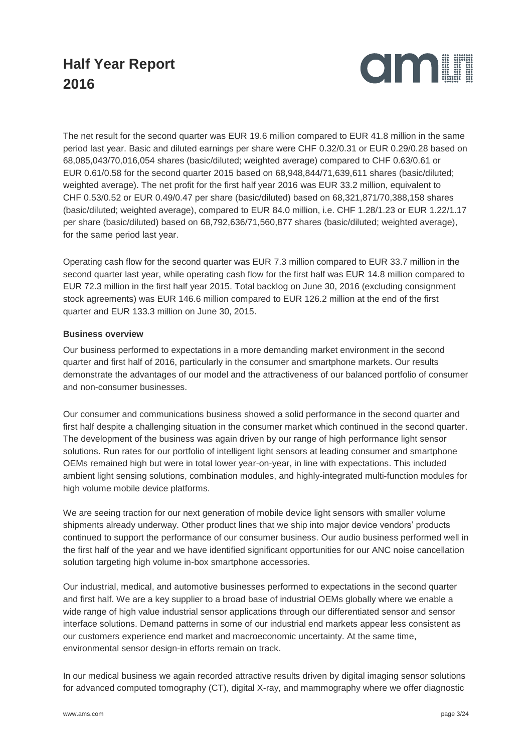

The net result for the second quarter was EUR 19.6 million compared to EUR 41.8 million in the same period last year. Basic and diluted earnings per share were CHF 0.32/0.31 or EUR 0.29/0.28 based on 68,085,043/70,016,054 shares (basic/diluted; weighted average) compared to CHF 0.63/0.61 or EUR 0.61/0.58 for the second quarter 2015 based on 68,948,844/71,639,611 shares (basic/diluted; weighted average). The net profit for the first half year 2016 was EUR 33.2 million, equivalent to CHF 0.53/0.52 or EUR 0.49/0.47 per share (basic/diluted) based on 68,321,871/70,388,158 shares (basic/diluted; weighted average), compared to EUR 84.0 million, i.e. CHF 1.28/1.23 or EUR 1.22/1.17 per share (basic/diluted) based on 68,792,636/71,560,877 shares (basic/diluted; weighted average), for the same period last year.

Operating cash flow for the second quarter was EUR 7.3 million compared to EUR 33.7 million in the second quarter last year, while operating cash flow for the first half was EUR 14.8 million compared to EUR 72.3 million in the first half year 2015. Total backlog on June 30, 2016 (excluding consignment stock agreements) was EUR 146.6 million compared to EUR 126.2 million at the end of the first quarter and EUR 133.3 million on June 30, 2015.

#### **Business overview**

Our business performed to expectations in a more demanding market environment in the second quarter and first half of 2016, particularly in the consumer and smartphone markets. Our results demonstrate the advantages of our model and the attractiveness of our balanced portfolio of consumer and non-consumer businesses.

Our consumer and communications business showed a solid performance in the second quarter and first half despite a challenging situation in the consumer market which continued in the second quarter. The development of the business was again driven by our range of high performance light sensor solutions. Run rates for our portfolio of intelligent light sensors at leading consumer and smartphone OEMs remained high but were in total lower year-on-year, in line with expectations. This included ambient light sensing solutions, combination modules, and highly-integrated multi-function modules for high volume mobile device platforms.

We are seeing traction for our next generation of mobile device light sensors with smaller volume shipments already underway. Other product lines that we ship into major device vendors' products continued to support the performance of our consumer business. Our audio business performed well in the first half of the year and we have identified significant opportunities for our ANC noise cancellation solution targeting high volume in-box smartphone accessories.

Our industrial, medical, and automotive businesses performed to expectations in the second quarter and first half. We are a key supplier to a broad base of industrial OEMs globally where we enable a wide range of high value industrial sensor applications through our differentiated sensor and sensor interface solutions. Demand patterns in some of our industrial end markets appear less consistent as our customers experience end market and macroeconomic uncertainty. At the same time, environmental sensor design-in efforts remain on track.

In our medical business we again recorded attractive results driven by digital imaging sensor solutions for advanced computed tomography (CT), digital X-ray, and mammography where we offer diagnostic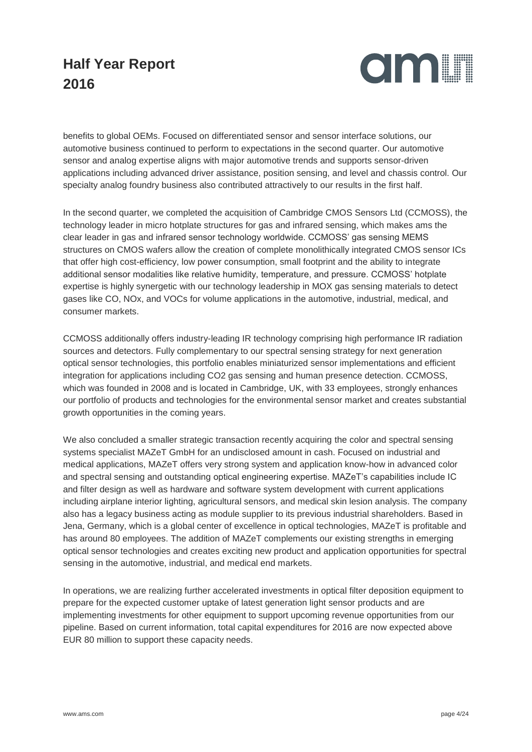

benefits to global OEMs. Focused on differentiated sensor and sensor interface solutions, our automotive business continued to perform to expectations in the second quarter. Our automotive sensor and analog expertise aligns with major automotive trends and supports sensor-driven applications including advanced driver assistance, position sensing, and level and chassis control. Our specialty analog foundry business also contributed attractively to our results in the first half.

In the second quarter, we completed the acquisition of Cambridge CMOS Sensors Ltd (CCMOSS), the technology leader in micro hotplate structures for gas and infrared sensing, which makes ams the clear leader in gas and infrared sensor technology worldwide. CCMOSS' gas sensing MEMS structures on CMOS wafers allow the creation of complete monolithically integrated CMOS sensor ICs that offer high cost-efficiency, low power consumption, small footprint and the ability to integrate additional sensor modalities like relative humidity, temperature, and pressure. CCMOSS' hotplate expertise is highly synergetic with our technology leadership in MOX gas sensing materials to detect gases like CO, NOx, and VOCs for volume applications in the automotive, industrial, medical, and consumer markets.

CCMOSS additionally offers industry-leading IR technology comprising high performance IR radiation sources and detectors. Fully complementary to our spectral sensing strategy for next generation optical sensor technologies, this portfolio enables miniaturized sensor implementations and efficient integration for applications including CO2 gas sensing and human presence detection. CCMOSS, which was founded in 2008 and is located in Cambridge, UK, with 33 employees, strongly enhances our portfolio of products and technologies for the environmental sensor market and creates substantial growth opportunities in the coming years.

We also concluded a smaller strategic transaction recently acquiring the color and spectral sensing systems specialist MAZeT GmbH for an undisclosed amount in cash. Focused on industrial and medical applications, MAZeT offers very strong system and application know-how in advanced color and spectral sensing and outstanding optical engineering expertise. MAZeT's capabilities include IC and filter design as well as hardware and software system development with current applications including airplane interior lighting, agricultural sensors, and medical skin lesion analysis. The company also has a legacy business acting as module supplier to its previous industrial shareholders. Based in Jena, Germany, which is a global center of excellence in optical technologies, MAZeT is profitable and has around 80 employees. The addition of MAZeT complements our existing strengths in emerging optical sensor technologies and creates exciting new product and application opportunities for spectral sensing in the automotive, industrial, and medical end markets.

In operations, we are realizing further accelerated investments in optical filter deposition equipment to prepare for the expected customer uptake of latest generation light sensor products and are implementing investments for other equipment to support upcoming revenue opportunities from our pipeline. Based on current information, total capital expenditures for 2016 are now expected above EUR 80 million to support these capacity needs.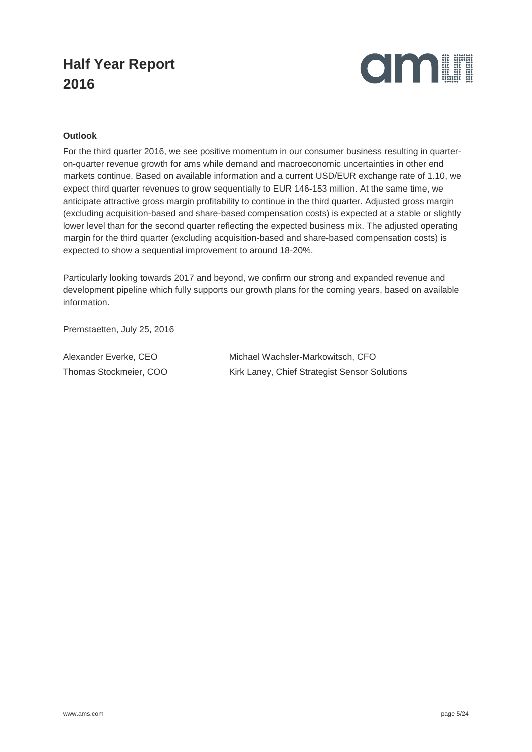

#### **Outlook**

For the third quarter 2016, we see positive momentum in our consumer business resulting in quarteron-quarter revenue growth for ams while demand and macroeconomic uncertainties in other end markets continue. Based on available information and a current USD/EUR exchange rate of 1.10, we expect third quarter revenues to grow sequentially to EUR 146-153 million. At the same time, we anticipate attractive gross margin profitability to continue in the third quarter. Adjusted gross margin (excluding acquisition-based and share-based compensation costs) is expected at a stable or slightly lower level than for the second quarter reflecting the expected business mix. The adjusted operating margin for the third quarter (excluding acquisition-based and share-based compensation costs) is expected to show a sequential improvement to around 18-20%.

Particularly looking towards 2017 and beyond, we confirm our strong and expanded revenue and development pipeline which fully supports our growth plans for the coming years, based on available information.

Premstaetten, July 25, 2016

Alexander Everke, CEO Michael Wachsler-Markowitsch, CFO Thomas Stockmeier, COO Kirk Laney, Chief Strategist Sensor Solutions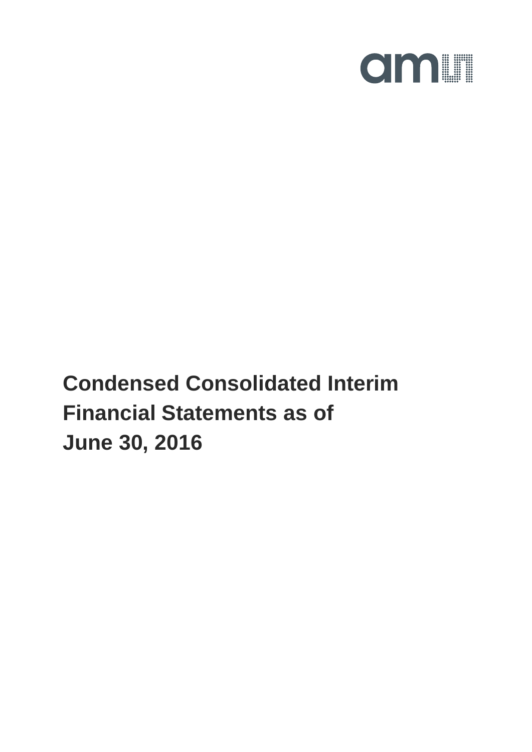

**Condensed Consolidated Interim Financial Statements as of June 30, 2016**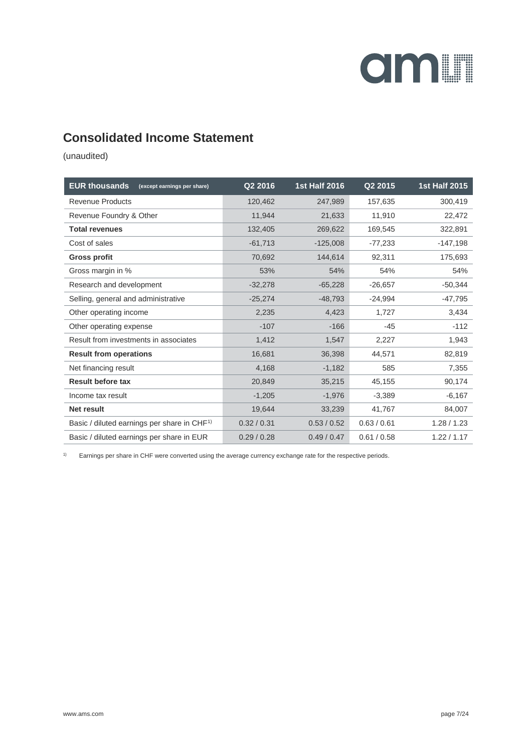

### **Consolidated Income Statement**

(unaudited)

| <b>EUR thousands</b><br>(except earnings per share)     | Q2 2016     | <b>1st Half 2016</b> | Q2 2015     | <b>1st Half 2015</b> |
|---------------------------------------------------------|-------------|----------------------|-------------|----------------------|
| <b>Revenue Products</b>                                 | 120,462     | 247,989              | 157,635     | 300,419              |
| Revenue Foundry & Other                                 | 11.944      | 21,633               | 11,910      | 22,472               |
| <b>Total revenues</b>                                   | 132,405     | 269,622              | 169,545     | 322,891              |
| Cost of sales                                           | $-61,713$   | $-125,008$           | $-77,233$   | $-147,198$           |
| <b>Gross profit</b>                                     | 70,692      | 144,614              | 92,311      | 175,693              |
| Gross margin in %                                       | 53%         | 54%                  | 54%         | 54%                  |
| Research and development                                | $-32,278$   | $-65,228$            | $-26,657$   | $-50,344$            |
| Selling, general and administrative                     | $-25,274$   | $-48,793$            | $-24,994$   | $-47,795$            |
| Other operating income                                  | 2,235       | 4,423                | 1,727       | 3,434                |
| Other operating expense                                 | $-107$      | $-166$               | $-45$       | $-112$               |
| Result from investments in associates                   | 1,412       | 1,547                | 2,227       | 1,943                |
| <b>Result from operations</b>                           | 16,681      | 36,398               | 44,571      | 82,819               |
| Net financing result                                    | 4,168       | $-1,182$             | 585         | 7,355                |
| <b>Result before tax</b>                                | 20,849      | 35,215               | 45,155      | 90,174               |
| Income tax result                                       | $-1,205$    | $-1,976$             | $-3,389$    | $-6,167$             |
| <b>Net result</b>                                       | 19,644      | 33,239               | 41,767      | 84,007               |
| Basic / diluted earnings per share in CHF <sup>1)</sup> | 0.32 / 0.31 | 0.53 / 0.52          | 0.63 / 0.61 | 1.28/1.23            |
| Basic / diluted earnings per share in EUR               | 0.29/0.28   | 0.49/0.47            | 0.61 / 0.58 | 1.22 / 1.17          |

1) Earnings per share in CHF were converted using the average currency exchange rate for the respective periods.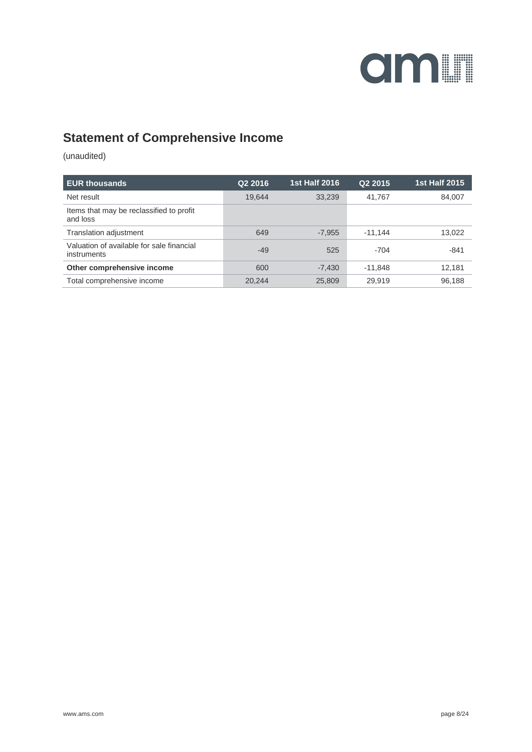

### **Statement of Comprehensive Income**

| <b>EUR thousands</b>                                     | Q <sub>2</sub> 2016 | <b>1st Half 2016</b> | Q <sub>2</sub> 2015 | <b>1st Half 2015</b> |
|----------------------------------------------------------|---------------------|----------------------|---------------------|----------------------|
| Net result                                               | 19,644              | 33,239               | 41.767              | 84,007               |
| Items that may be reclassified to profit<br>and loss     |                     |                      |                     |                      |
| Translation adjustment                                   | 649                 | $-7,955$             | $-11.144$           | 13,022               |
| Valuation of available for sale financial<br>instruments | $-49$               | 525                  | $-704$              | $-841$               |
| Other comprehensive income                               | 600                 | $-7,430$             | $-11.848$           | 12,181               |
| Total comprehensive income                               | 20.244              | 25,809               | 29.919              | 96.188               |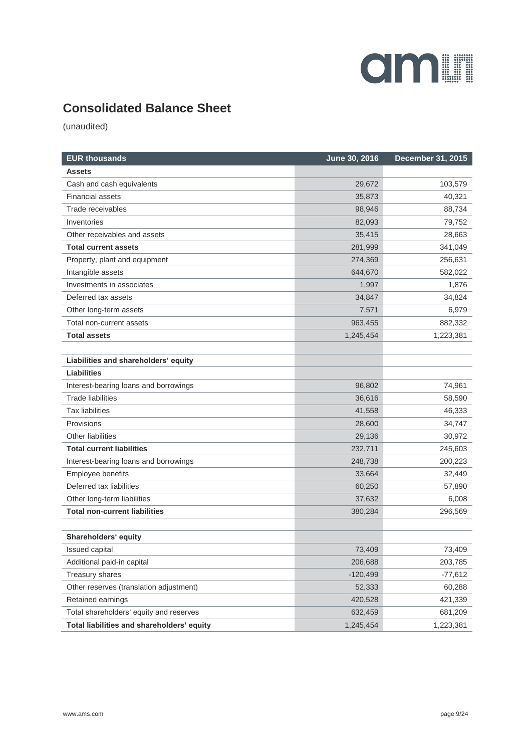## **amin**

### **Consolidated Balance Sheet**

| <b>EUR thousands</b>                       | June 30, 2016 | <b>December 31, 2015</b> |
|--------------------------------------------|---------------|--------------------------|
| Assets                                     |               |                          |
| Cash and cash equivalents                  | 29,672        | 103,579                  |
| <b>Financial assets</b>                    | 35,873        | 40,321                   |
| Trade receivables                          | 98,946        | 88,734                   |
| Inventories                                | 82,093        | 79,752                   |
| Other receivables and assets               | 35,415        | 28,663                   |
| <b>Total current assets</b>                | 281,999       | 341,049                  |
| Property, plant and equipment              | 274,369       | 256,631                  |
| Intangible assets                          | 644,670       | 582,022                  |
| Investments in associates                  | 1,997         | 1,876                    |
| Deferred tax assets                        | 34,847        | 34,824                   |
| Other long-term assets                     | 7,571         | 6,979                    |
| Total non-current assets                   | 963,455       | 882,332                  |
| <b>Total assets</b>                        | 1,245,454     | 1,223,381                |
|                                            |               |                          |
| Liabilities and shareholders' equity       |               |                          |
| <b>Liabilities</b>                         |               |                          |
| Interest-bearing loans and borrowings      | 96,802        | 74,961                   |
| <b>Trade liabilities</b>                   | 36,616        | 58,590                   |
| <b>Tax liabilities</b>                     | 41,558        | 46,333                   |
| Provisions                                 | 28,600        | 34,747                   |
| Other liabilities                          | 29,136        | 30,972                   |
| <b>Total current liabilities</b>           | 232,711       | 245,603                  |
| Interest-bearing loans and borrowings      | 248,738       | 200,223                  |
| Employee benefits                          | 33,664        | 32,449                   |
| Deferred tax liabilities                   | 60,250        | 57,890                   |
| Other long-term liabilities                | 37,632        | 6,008                    |
| <b>Total non-current liabilities</b>       | 380,284       | 296,569                  |
| Shareholders' equity                       |               |                          |
| Issued capital                             | 73,409        | 73,409                   |
| Additional paid-in capital                 | 206,688       | 203,785                  |
| Treasury shares                            | $-120,499$    | $-77,612$                |
| Other reserves (translation adjustment)    | 52,333        | 60,288                   |
| Retained earnings                          | 420,528       | 421,339                  |
| Total shareholders' equity and reserves    | 632,459       | 681,209                  |
| Total liabilities and shareholders' equity | 1,245,454     | 1,223,381                |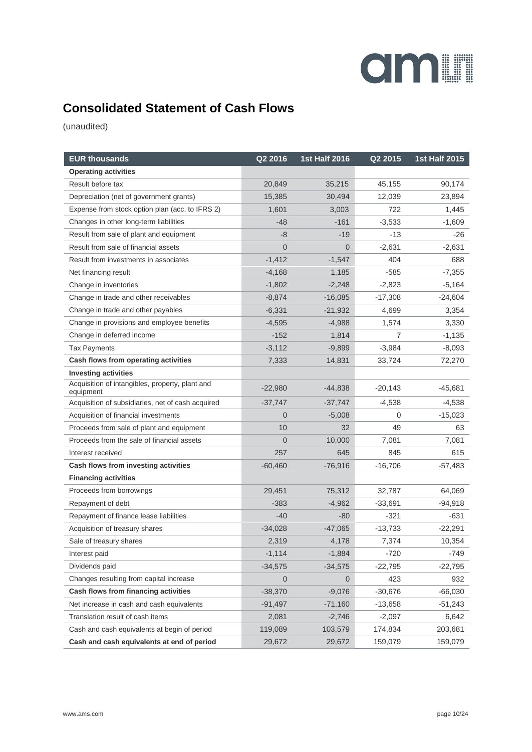## **amin**

### **Consolidated Statement of Cash Flows**

| <b>EUR thousands</b>                                         | Q2 2016        | <b>1st Half 2016</b> | Q2 2015        | <b>1st Half 2015</b> |
|--------------------------------------------------------------|----------------|----------------------|----------------|----------------------|
| <b>Operating activities</b>                                  |                |                      |                |                      |
| Result before tax                                            | 20,849         | 35,215               | 45,155         | 90,174               |
| Depreciation (net of government grants)                      | 15,385         | 30.494               | 12,039         | 23,894               |
| Expense from stock option plan (acc. to IFRS 2)              | 1,601          | 3,003                | 722            | 1,445                |
| Changes in other long-term liabilities                       | -48            | $-161$               | $-3,533$       | $-1,609$             |
| Result from sale of plant and equipment                      | -8             | $-19$                | -13            | -26                  |
| Result from sale of financial assets                         | $\overline{0}$ | $\overline{0}$       | $-2,631$       | $-2,631$             |
| Result from investments in associates                        | $-1,412$       | $-1,547$             | 404            | 688                  |
| Net financing result                                         | $-4,168$       | 1,185                | $-585$         | $-7,355$             |
| Change in inventories                                        | $-1,802$       | $-2,248$             | $-2,823$       | $-5,164$             |
| Change in trade and other receivables                        | $-8,874$       | $-16,085$            | $-17,308$      | $-24,604$            |
| Change in trade and other payables                           | $-6,331$       | $-21,932$            | 4,699          | 3,354                |
| Change in provisions and employee benefits                   | $-4,595$       | $-4,988$             | 1,574          | 3,330                |
| Change in deferred income                                    | $-152$         | 1,814                | $\overline{7}$ | $-1,135$             |
| <b>Tax Payments</b>                                          | $-3,112$       | $-9,899$             | $-3,984$       | $-8,093$             |
| Cash flows from operating activities                         | 7,333          | 14,831               | 33,724         | 72,270               |
| <b>Investing activities</b>                                  |                |                      |                |                      |
| Acquisition of intangibles, property, plant and<br>equipment | $-22,980$      | $-44,838$            | $-20,143$      | $-45,681$            |
| Acquisition of subsidiaries, net of cash acquired            | $-37,747$      | $-37,747$            | $-4,538$       | $-4,538$             |
| Acquisition of financial investments                         | $\Omega$       | $-5,008$             | 0              | $-15,023$            |
| Proceeds from sale of plant and equipment                    | 10             | 32                   | 49             | 63                   |
| Proceeds from the sale of financial assets                   | $\overline{0}$ | 10,000               | 7,081          | 7,081                |
| Interest received                                            | 257            | 645                  | 845            | 615                  |
| Cash flows from investing activities                         | $-60,460$      | $-76,916$            | $-16,706$      | -57,483              |
| <b>Financing activities</b>                                  |                |                      |                |                      |
| Proceeds from borrowings                                     | 29,451         | 75,312               | 32,787         | 64,069               |
| Repayment of debt                                            | $-383$         | $-4,962$             | -33,691        | $-94,918$            |
| Repayment of finance lease liabilities                       | $-40$          | $-80$                | $-321$         | $-631$               |
| Acquisition of treasury shares                               | $-34,028$      | $-47,065$            | $-13,733$      | $-22,291$            |
| Sale of treasury shares                                      | 2,319          | 4,178                | 7,374          | 10,354               |
| Interest paid                                                | $-1,114$       | $-1,884$             | $-720$         | $-749$               |
| Dividends paid                                               | $-34,575$      | $-34,575$            | $-22,795$      | $-22,795$            |
| Changes resulting from capital increase                      | $\Omega$       | $\overline{0}$       | 423            | 932                  |
| Cash flows from financing activities                         | $-38,370$      | $-9,076$             | $-30,676$      | $-66,030$            |
| Net increase in cash and cash equivalents                    | $-91,497$      | $-71,160$            | $-13,658$      | $-51,243$            |
| Translation result of cash items                             | 2,081          | $-2,746$             | $-2,097$       | 6,642                |
| Cash and cash equivalents at begin of period                 | 119,089        | 103,579              | 174,834        | 203,681              |
| Cash and cash equivalents at end of period                   | 29,672         | 29,672               | 159,079        | 159,079              |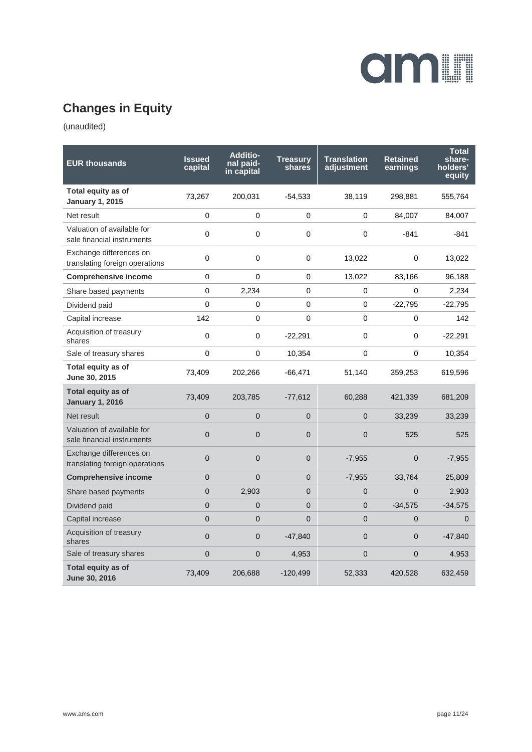

## **Changes in Equity**

| <b>EUR thousands</b>                                      | <b>Issued</b><br>capital | <b>Additio-</b><br>nal paid-<br>in capital | <b>Treasury</b><br>shares | <b>Translation</b><br>adjustment | <b>Retained</b><br>earnings | <b>Total</b><br>share-<br>holders'<br>equity |
|-----------------------------------------------------------|--------------------------|--------------------------------------------|---------------------------|----------------------------------|-----------------------------|----------------------------------------------|
| Total equity as of<br><b>January 1, 2015</b>              | 73,267                   | 200,031                                    | $-54,533$                 | 38,119                           | 298,881                     | 555,764                                      |
| Net result                                                | 0                        | 0                                          | $\Omega$                  | 0                                | 84,007                      | 84,007                                       |
| Valuation of available for<br>sale financial instruments  | $\mathbf 0$              | 0                                          | 0                         | 0                                | $-841$                      | $-841$                                       |
| Exchange differences on<br>translating foreign operations | 0                        | 0                                          | $\mathbf 0$               | 13,022                           | 0                           | 13,022                                       |
| <b>Comprehensive income</b>                               | 0                        | 0                                          | 0                         | 13,022                           | 83,166                      | 96,188                                       |
| Share based payments                                      | $\mathbf 0$              | 2,234                                      | 0                         | 0                                | 0                           | 2,234                                        |
| Dividend paid                                             | $\Omega$                 | 0                                          | 0                         | 0                                | $-22,795$                   | $-22,795$                                    |
| Capital increase                                          | 142                      | 0                                          | 0                         | 0                                | $\mathbf 0$                 | 142                                          |
| Acquisition of treasury<br>shares                         | 0                        | 0                                          | $-22,291$                 | 0                                | 0                           | $-22,291$                                    |
| Sale of treasury shares                                   | 0                        | 0                                          | 10,354                    | $\Omega$                         | $\mathbf 0$                 | 10,354                                       |
| Total equity as of<br>June 30, 2015                       | 73,409                   | 202,266                                    | $-66,471$                 | 51,140                           | 359,253                     | 619,596                                      |
| Total equity as of<br><b>January 1, 2016</b>              | 73,409                   | 203,785                                    | $-77,612$                 | 60,288                           | 421,339                     | 681,209                                      |
| Net result                                                | $\overline{0}$           | $\overline{0}$                             | $\overline{0}$            | $\overline{0}$                   | 33,239                      | 33,239                                       |
| Valuation of available for<br>sale financial instruments  | $\overline{0}$           | $\overline{0}$                             | $\overline{0}$            | $\overline{0}$                   | 525                         | 525                                          |
| Exchange differences on<br>translating foreign operations | $\mathbf 0$              | $\Omega$                                   | $\overline{0}$            | $-7,955$                         | $\mathbf{0}$                | $-7,955$                                     |
| <b>Comprehensive income</b>                               | $\overline{0}$           | $\Omega$                                   | $\overline{0}$            | $-7,955$                         | 33,764                      | 25,809                                       |
| Share based payments                                      | $\overline{0}$           | 2,903                                      | $\overline{0}$            | $\overline{0}$                   | $\Omega$                    | 2,903                                        |
| Dividend paid                                             | $\overline{0}$           | 0                                          | $\overline{0}$            | $\mathbf{0}$                     | $-34,575$                   | $-34,575$                                    |
| Capital increase                                          | $\Omega$                 | $\Omega$                                   | $\Omega$                  | $\Omega$                         | $\Omega$                    | 0                                            |
| Acquisition of treasury<br>shares                         | $\overline{0}$           | $\Omega$                                   | $-47,840$                 | $\Omega$                         | $\mathbf{0}$                | $-47,840$                                    |
| Sale of treasury shares                                   | $\mathbf 0$              | $\overline{0}$                             | 4,953                     | $\overline{0}$                   | $\mathbf{0}$                | 4,953                                        |
| Total equity as of<br>June 30, 2016                       | 73,409                   | 206,688                                    | $-120,499$                | 52,333                           | 420,528                     | 632,459                                      |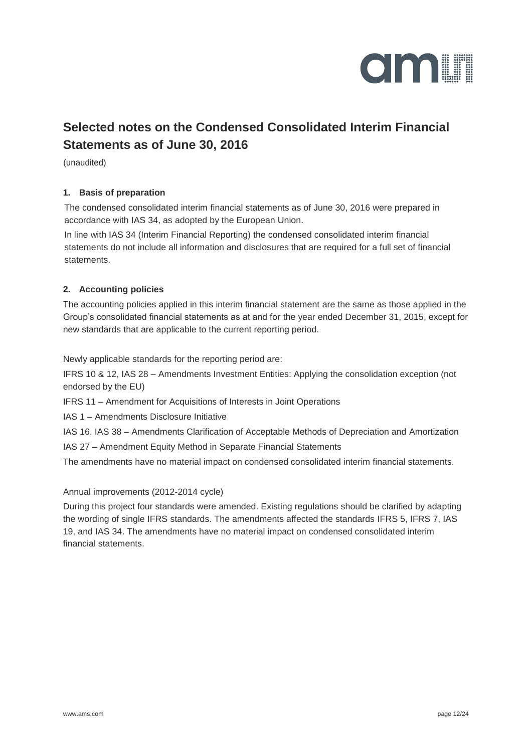

### **Selected notes on the Condensed Consolidated Interim Financial Statements as of June 30, 2016**

(unaudited)

#### **1. Basis of preparation**

The condensed consolidated interim financial statements as of June 30, 2016 were prepared in accordance with IAS 34, as adopted by the European Union.

In line with IAS 34 (Interim Financial Reporting) the condensed consolidated interim financial statements do not include all information and disclosures that are required for a full set of financial statements.

#### **2. Accounting policies**

The accounting policies applied in this interim financial statement are the same as those applied in the Group's consolidated financial statements as at and for the year ended December 31, 2015, except for new standards that are applicable to the current reporting period.

Newly applicable standards for the reporting period are:

IFRS 10 & 12, IAS 28 – Amendments Investment Entities: Applying the consolidation exception (not endorsed by the EU)

IFRS 11 – Amendment for Acquisitions of Interests in Joint Operations

IAS 1 – Amendments Disclosure Initiative

IAS 16, IAS 38 – Amendments Clarification of Acceptable Methods of Depreciation and Amortization

IAS 27 – Amendment Equity Method in Separate Financial Statements

The amendments have no material impact on condensed consolidated interim financial statements.

Annual improvements (2012-2014 cycle)

During this project four standards were amended. Existing regulations should be clarified by adapting the wording of single IFRS standards. The amendments affected the standards IFRS 5, IFRS 7, IAS 19, and IAS 34. The amendments have no material impact on condensed consolidated interim financial statements.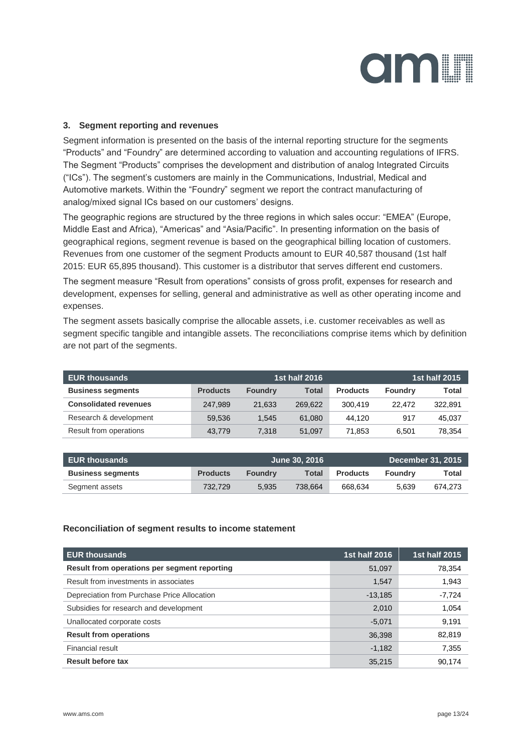

#### **3. Segment reporting and revenues**

Segment information is presented on the basis of the internal reporting structure for the segments "Products" and "Foundry" are determined according to valuation and accounting regulations of IFRS. The Segment "Products" comprises the development and distribution of analog Integrated Circuits ("ICs"). The segment's customers are mainly in the Communications, Industrial, Medical and Automotive markets. Within the "Foundry" segment we report the contract manufacturing of analog/mixed signal ICs based on our customers' designs.

The geographic regions are structured by the three regions in which sales occur: "EMEA" (Europe, Middle East and Africa), "Americas" and "Asia/Pacific". In presenting information on the basis of geographical regions, segment revenue is based on the geographical billing location of customers. Revenues from one customer of the segment Products amount to EUR 40,587 thousand (1st half 2015: EUR 65,895 thousand). This customer is a distributor that serves different end customers.

The segment measure "Result from operations" consists of gross profit, expenses for research and development, expenses for selling, general and administrative as well as other operating income and expenses.

The segment assets basically comprise the allocable assets, i.e. customer receivables as well as segment specific tangible and intangible assets. The reconciliations comprise items which by definition are not part of the segments.

| <b>EUR thousands</b>         |                 |                | 1st half 2016 |                 |                | <b>1st half 2015</b> |
|------------------------------|-----------------|----------------|---------------|-----------------|----------------|----------------------|
| <b>Business segments</b>     | <b>Products</b> | <b>Foundry</b> | <b>Total</b>  | <b>Products</b> | <b>Foundry</b> | <b>Total</b>         |
| <b>Consolidated revenues</b> | 247.989         | 21.633         | 269.622       | 300.419         | 22.472         | 322.891              |
| Research & development       | 59.536          | 1.545          | 61,080        | 44.120          | 917            | 45,037               |
| Result from operations       | 43.779          | 7.318          | 51.097        | 71.853          | 6.501          | 78,354               |

| <b>EUR thousands</b>     | June 30, 2016   |                |         |                 |         | December 31, 2015 |
|--------------------------|-----------------|----------------|---------|-----------------|---------|-------------------|
| <b>Business segments</b> | <b>Products</b> | <b>Foundry</b> | Total   | <b>Products</b> | Foundry | Total             |
| Segment assets           | 732.729         | 5.935          | 738.664 | 668.634         | 5.639   | 674.273           |

#### **Reconciliation of segment results to income statement**

| <b>EUR thousands</b>                         | 1st half 2016 | 1st half 2015 |
|----------------------------------------------|---------------|---------------|
| Result from operations per segment reporting | 51,097        | 78,354        |
| Result from investments in associates        | 1,547         | 1,943         |
| Depreciation from Purchase Price Allocation  | $-13,185$     | $-7,724$      |
| Subsidies for research and development       | 2,010         | 1,054         |
| Unallocated corporate costs                  | $-5.071$      | 9,191         |
| <b>Result from operations</b>                | 36,398        | 82,819        |
| Financial result                             | $-1,182$      | 7,355         |
| <b>Result before tax</b>                     | 35,215        | 90.174        |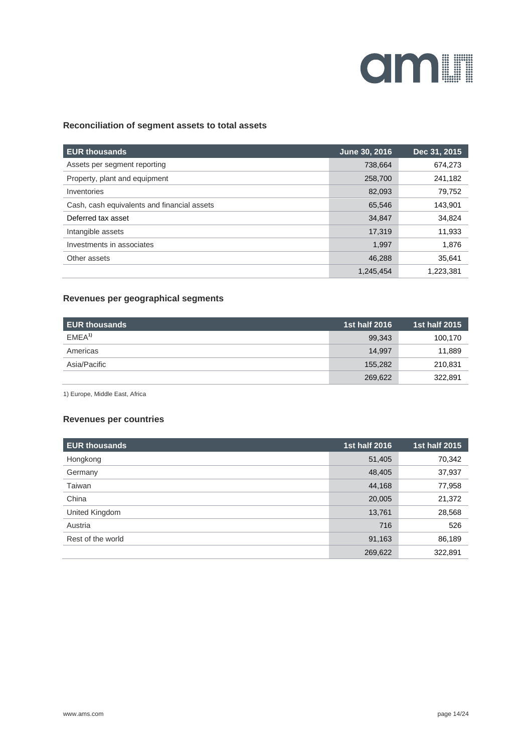

#### **Reconciliation of segment assets to total assets**

| <b>EUR thousands</b>                        | June 30, 2016 | Dec 31, 2015 |
|---------------------------------------------|---------------|--------------|
| Assets per segment reporting                | 738,664       | 674,273      |
| Property, plant and equipment               | 258,700       | 241,182      |
| Inventories                                 | 82,093        | 79,752       |
| Cash, cash equivalents and financial assets | 65,546        | 143,901      |
| Deferred tax asset                          | 34,847        | 34,824       |
| Intangible assets                           | 17,319        | 11,933       |
| Investments in associates                   | 1,997         | 1,876        |
| Other assets                                | 46,288        | 35,641       |
|                                             | 1.245.454     | 1.223.381    |

#### **Revenues per geographical segments**

| <b>EUR thousands</b> | 1st half 2016 | 1st half 2015 |
|----------------------|---------------|---------------|
| FMFA <sup>1</sup>    | 99,343        | 100,170       |
| Americas             | 14.997        | 11,889        |
| Asia/Pacific         | 155,282       | 210,831       |
|                      | 269,622       | 322,891       |

1) Europe, Middle East, Africa

#### **Revenues per countries**

| <b>EUR thousands</b> | <b>1st half 2016</b> | <b>1st half 2015</b> |
|----------------------|----------------------|----------------------|
| Hongkong             | 51,405               | 70,342               |
| Germany              | 48,405               | 37,937               |
| Taiwan               | 44,168               | 77,958               |
| China                | 20,005               | 21,372               |
| United Kingdom       | 13,761               | 28,568               |
| Austria              | 716                  | 526                  |
| Rest of the world    | 91,163               | 86,189               |
|                      | 269,622              | 322,891              |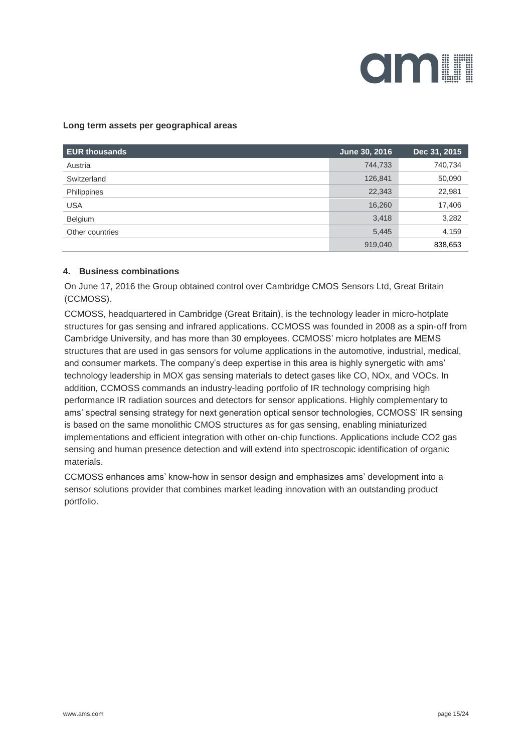

#### **Long term assets per geographical areas**

| <b>EUR thousands</b> | June 30, 2016 | Dec 31, 2015 |
|----------------------|---------------|--------------|
| Austria              | 744,733       | 740,734      |
| Switzerland          | 126,841       | 50,090       |
| Philippines          | 22,343        | 22,981       |
| <b>USA</b>           | 16,260        | 17,406       |
| Belgium              | 3,418         | 3,282        |
| Other countries      | 5,445         | 4,159        |
|                      | 919,040       | 838,653      |

#### **4. Business combinations**

On June 17, 2016 the Group obtained control over Cambridge CMOS Sensors Ltd, Great Britain (CCMOSS).

CCMOSS, headquartered in Cambridge (Great Britain), is the technology leader in micro-hotplate structures for gas sensing and infrared applications. CCMOSS was founded in 2008 as a spin-off from Cambridge University, and has more than 30 employees. CCMOSS' micro hotplates are MEMS structures that are used in gas sensors for volume applications in the automotive, industrial, medical, and consumer markets. The company's deep expertise in this area is highly synergetic with ams' technology leadership in MOX gas sensing materials to detect gases like CO, NOx, and VOCs. In addition, CCMOSS commands an industry-leading portfolio of IR technology comprising high performance IR radiation sources and detectors for sensor applications. Highly complementary to ams' spectral sensing strategy for next generation optical sensor technologies, CCMOSS' IR sensing is based on the same monolithic CMOS structures as for gas sensing, enabling miniaturized implementations and efficient integration with other on-chip functions. Applications include CO2 gas sensing and human presence detection and will extend into spectroscopic identification of organic materials.

CCMOSS enhances ams' know-how in sensor design and emphasizes ams' development into a sensor solutions provider that combines market leading innovation with an outstanding product portfolio.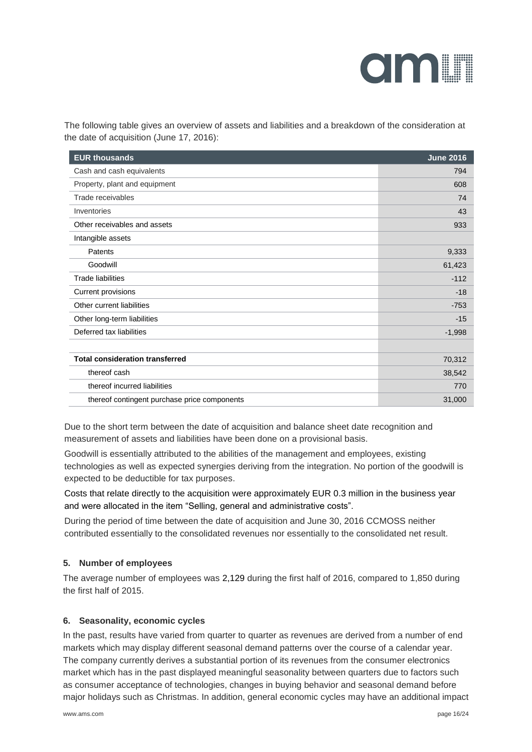

The following table gives an overview of assets and liabilities and a breakdown of the consideration at the date of acquisition (June 17, 2016):

| <b>EUR thousands</b>                         | <b>June 2016</b> |
|----------------------------------------------|------------------|
| Cash and cash equivalents                    | 794              |
| Property, plant and equipment                | 608              |
| Trade receivables                            | 74               |
| Inventories                                  | 43               |
| Other receivables and assets                 | 933              |
| Intangible assets                            |                  |
| Patents                                      | 9,333            |
| Goodwill                                     | 61,423           |
| <b>Trade liabilities</b>                     | $-112$           |
| Current provisions                           | $-18$            |
| Other current liabilities                    | $-753$           |
| Other long-term liabilities                  | $-15$            |
| Deferred tax liabilities                     | $-1,998$         |
|                                              |                  |
| <b>Total consideration transferred</b>       | 70,312           |
| thereof cash                                 | 38,542           |
| thereof incurred liabilities                 | 770              |
| thereof contingent purchase price components | 31,000           |

Due to the short term between the date of acquisition and balance sheet date recognition and measurement of assets and liabilities have been done on a provisional basis.

Goodwill is essentially attributed to the abilities of the management and employees, existing technologies as well as expected synergies deriving from the integration. No portion of the goodwill is expected to be deductible for tax purposes.

Costs that relate directly to the acquisition were approximately EUR 0.3 million in the business year and were allocated in the item "Selling, general and administrative costs".

During the period of time between the date of acquisition and June 30, 2016 CCMOSS neither contributed essentially to the consolidated revenues nor essentially to the consolidated net result.

#### **5. Number of employees**

The average number of employees was 2,129 during the first half of 2016, compared to 1,850 during the first half of 2015.

#### **6. Seasonality, economic cycles**

In the past, results have varied from quarter to quarter as revenues are derived from a number of end markets which may display different seasonal demand patterns over the course of a calendar year. The company currently derives a substantial portion of its revenues from the consumer electronics market which has in the past displayed meaningful seasonality between quarters due to factors such as consumer acceptance of technologies, changes in buying behavior and seasonal demand before major holidays such as Christmas. In addition, general economic cycles may have an additional impact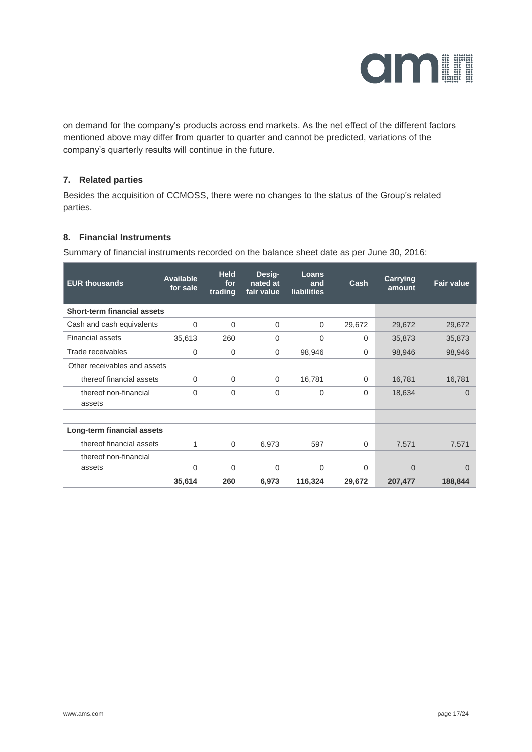

on demand for the company's products across end markets. As the net effect of the different factors mentioned above may differ from quarter to quarter and cannot be predicted, variations of the company's quarterly results will continue in the future.

#### **7. Related parties**

Besides the acquisition of CCMOSS, there were no changes to the status of the Group's related parties.

#### **8. Financial Instruments**

Summary of financial instruments recorded on the balance sheet date as per June 30, 2016:

| <b>EUR thousands</b>               | Available<br>for sale | <b>Held</b><br>for<br>trading | Desig-<br>nated at<br>fair value | Loans<br>and<br>liabilities | Cash     | <b>Carrying</b><br>amount | <b>Fair value</b> |
|------------------------------------|-----------------------|-------------------------------|----------------------------------|-----------------------------|----------|---------------------------|-------------------|
| <b>Short-term financial assets</b> |                       |                               |                                  |                             |          |                           |                   |
| Cash and cash equivalents          | $\Omega$              | $\Omega$                      | $\Omega$                         | 0                           | 29,672   | 29,672                    | 29,672            |
| <b>Financial assets</b>            | 35,613                | 260                           | $\mathbf 0$                      | 0                           | $\Omega$ | 35,873                    | 35,873            |
| Trade receivables                  | 0                     | $\Omega$                      | $\Omega$                         | 98,946                      | $\Omega$ | 98,946                    | 98,946            |
| Other receivables and assets       |                       |                               |                                  |                             |          |                           |                   |
| thereof financial assets           | $\Omega$              | $\Omega$                      | $\Omega$                         | 16,781                      | $\Omega$ | 16,781                    | 16,781            |
| thereof non-financial<br>assets    | $\Omega$              | $\Omega$                      | $\Omega$                         | $\Omega$                    | $\Omega$ | 18,634                    | $\Omega$          |
|                                    |                       |                               |                                  |                             |          |                           |                   |
| Long-term financial assets         |                       |                               |                                  |                             |          |                           |                   |
| thereof financial assets           | 1                     | $\Omega$                      | 6.973                            | 597                         | $\Omega$ | 7.571                     | 7.571             |
| thereof non-financial              |                       |                               |                                  |                             |          |                           |                   |
| assets                             | 0                     | 0                             | 0                                | 0                           | $\Omega$ | $\overline{0}$            | $\Omega$          |
|                                    | 35,614                | 260                           | 6,973                            | 116,324                     | 29,672   | 207,477                   | 188,844           |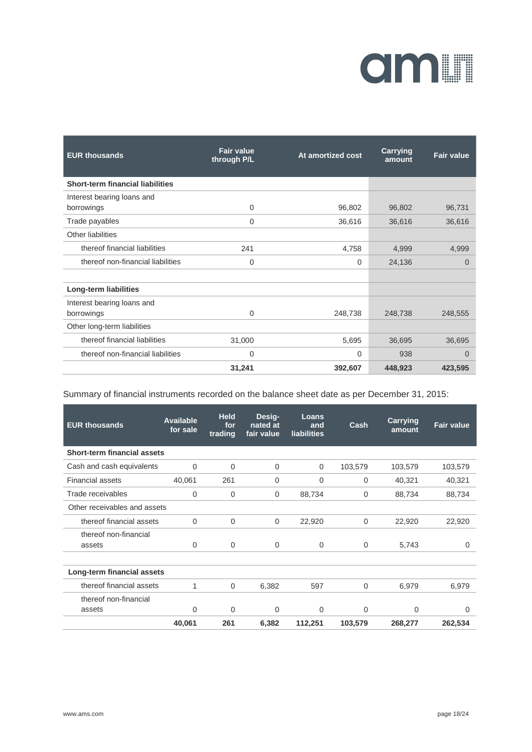# amin

| <b>EUR thousands</b>                    | <b>Fair value</b><br>through P/L | At amortized cost | Carrying<br>amount | <b>Fair value</b> |
|-----------------------------------------|----------------------------------|-------------------|--------------------|-------------------|
| <b>Short-term financial liabilities</b> |                                  |                   |                    |                   |
| Interest bearing loans and              |                                  |                   |                    |                   |
| borrowings                              | $\overline{0}$                   | 96,802            | 96,802             | 96,731            |
| Trade payables                          | $\overline{0}$                   | 36,616            | 36,616             | 36,616            |
| Other liabilities                       |                                  |                   |                    |                   |
| thereof financial liabilities           | 241                              | 4,758             | 4,999              | 4,999             |
| thereof non-financial liabilities       | $\mathbf 0$                      | $\Omega$          | 24,136             | $\Omega$          |
|                                         |                                  |                   |                    |                   |
| Long-term liabilities                   |                                  |                   |                    |                   |
| Interest bearing loans and              |                                  |                   |                    |                   |
| borrowings                              | $\Omega$                         | 248,738           | 248,738            | 248,555           |
| Other long-term liabilities             |                                  |                   |                    |                   |
| thereof financial liabilities           | 31,000                           | 5,695             | 36,695             | 36,695            |
| thereof non-financial liabilities       | $\mathbf 0$                      | $\Omega$          | 938                | $\Omega$          |
|                                         | 31,241                           | 392,607           | 448,923            | 423,595           |

#### Summary of financial instruments recorded on the balance sheet date as per December 31, 2015:

| <b>EUR thousands</b>         | <b>Available</b><br>for sale | <b>Held</b><br>for<br>trading | Desig-<br>nated at<br>fair value | Loans<br>and<br><b>liabilities</b> | Cash        | Carrying<br>amount | <b>Fair value</b> |
|------------------------------|------------------------------|-------------------------------|----------------------------------|------------------------------------|-------------|--------------------|-------------------|
| Short-term financial assets  |                              |                               |                                  |                                    |             |                    |                   |
| Cash and cash equivalents    | $\Omega$                     | $\mathbf 0$                   | $\mathbf 0$                      | 0                                  | 103,579     | 103,579            | 103,579           |
| <b>Financial assets</b>      | 40,061                       | 261                           | 0                                | 0                                  | 0           | 40,321             | 40,321            |
| Trade receivables            | $\mathbf 0$                  | 0                             | 0                                | 88,734                             | 0           | 88,734             | 88,734            |
| Other receivables and assets |                              |                               |                                  |                                    |             |                    |                   |
| thereof financial assets     | $\Omega$                     | $\Omega$                      | $\Omega$                         | 22,920                             | $\Omega$    | 22,920             | 22,920            |
| thereof non-financial        |                              |                               |                                  |                                    |             |                    |                   |
| assets                       | $\Omega$                     | $\Omega$                      | $\Omega$                         | $\Omega$                           | $\Omega$    | 5,743              | $\Omega$          |
| Long-term financial assets   |                              |                               |                                  |                                    |             |                    |                   |
| thereof financial assets     | 1                            | $\Omega$                      | 6,382                            | 597                                | $\mathbf 0$ | 6,979              | 6,979             |
| thereof non-financial        |                              |                               |                                  |                                    |             |                    |                   |
| assets                       | 0                            | $\Omega$                      | $\Omega$                         | $\Omega$                           | $\Omega$    | 0                  | 0                 |
|                              | 40,061                       | 261                           | 6,382                            | 112,251                            | 103,579     | 268,277            | 262,534           |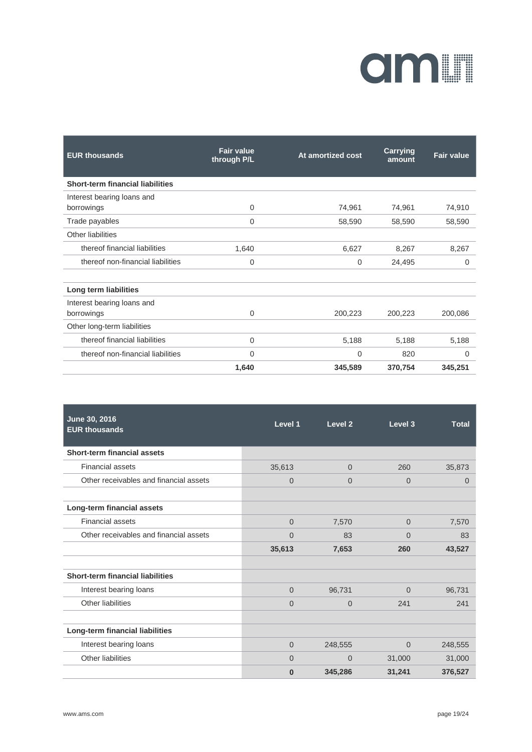# **OMIT**

| <b>EUR thousands</b>                    | <b>Fair value</b><br>through P/L | At amortized cost | <b>Carrying</b><br>amount | <b>Fair value</b> |
|-----------------------------------------|----------------------------------|-------------------|---------------------------|-------------------|
| <b>Short-term financial liabilities</b> |                                  |                   |                           |                   |
| Interest bearing loans and              |                                  |                   |                           |                   |
| borrowings                              | $\mathbf 0$                      | 74,961            | 74,961                    | 74,910            |
| Trade payables                          | $\mathbf 0$                      | 58,590            | 58,590                    | 58,590            |
| Other liabilities                       |                                  |                   |                           |                   |
| thereof financial liabilities           | 1,640                            | 6,627             | 8,267                     | 8,267             |
| thereof non-financial liabilities       | $\Omega$                         | $\Omega$          | 24,495                    | 0                 |
| Long term liabilities                   |                                  |                   |                           |                   |
| Interest bearing loans and              |                                  |                   |                           |                   |
| borrowings                              | $\Omega$                         | 200,223           | 200,223                   | 200,086           |
| Other long-term liabilities             |                                  |                   |                           |                   |
| thereof financial liabilities           | $\mathbf 0$                      | 5,188             | 5,188                     | 5,188             |
| thereof non-financial liabilities       | $\mathbf 0$                      | $\overline{0}$    | 820                       | 0                 |
|                                         | 1,640                            | 345,589           | 370,754                   | 345,251           |

| June 30, 2016<br><b>EUR thousands</b>   | Level 1        | Level <sub>2</sub> | Level 3        | <b>Total</b>   |
|-----------------------------------------|----------------|--------------------|----------------|----------------|
| <b>Short-term financial assets</b>      |                |                    |                |                |
| <b>Financial assets</b>                 | 35,613         | $\overline{0}$     | 260            | 35,873         |
| Other receivables and financial assets  | $\overline{0}$ | $\overline{0}$     | $\Omega$       | $\overline{0}$ |
|                                         |                |                    |                |                |
| Long-term financial assets              |                |                    |                |                |
| <b>Financial assets</b>                 | $\overline{0}$ | 7,570              | $\overline{0}$ | 7,570          |
| Other receivables and financial assets  | $\overline{0}$ | 83                 | $\overline{0}$ | 83             |
|                                         | 35,613         | 7,653              | 260            | 43,527         |
|                                         |                |                    |                |                |
| <b>Short-term financial liabilities</b> |                |                    |                |                |
| Interest bearing loans                  | $\Omega$       | 96,731             | $\Omega$       | 96,731         |
| Other liabilities                       | $\Omega$       | $\Omega$           | 241            | 241            |
|                                         |                |                    |                |                |
| Long-term financial liabilities         |                |                    |                |                |
| Interest bearing loans                  | $\overline{0}$ | 248,555            | $\overline{0}$ | 248,555        |
| Other liabilities                       | $\Omega$       | $\overline{0}$     | 31,000         | 31,000         |
|                                         | $\bf{0}$       | 345,286            | 31,241         | 376,527        |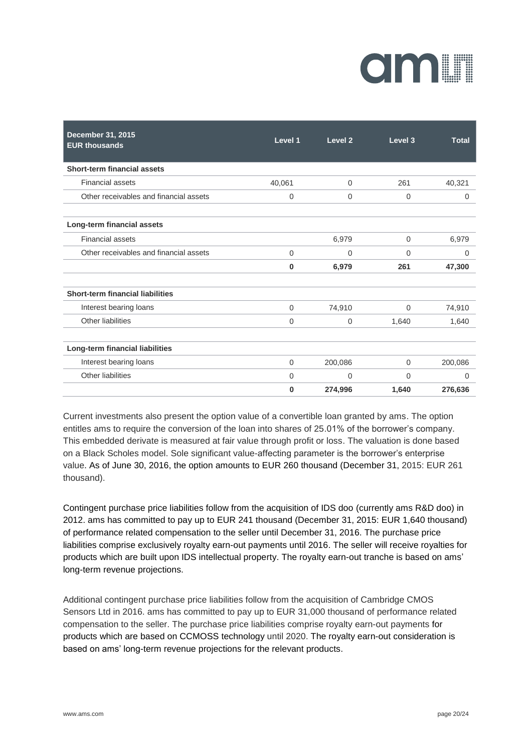# CIMIN

| December 31, 2015<br><b>EUR thousands</b> | Level 1     | Level 2     | Level 3     | <b>Total</b> |
|-------------------------------------------|-------------|-------------|-------------|--------------|
| Short-term financial assets               |             |             |             |              |
| <b>Financial assets</b>                   | 40.061      | $\mathbf 0$ | 261         | 40,321       |
| Other receivables and financial assets    | $\mathbf 0$ | $\mathbf 0$ | $\mathbf 0$ | $\mathbf 0$  |
| Long-term financial assets                |             |             |             |              |
| <b>Financial assets</b>                   |             | 6,979       | 0           | 6,979        |
| Other receivables and financial assets    | $\Omega$    | 0           | $\mathbf 0$ | $\mathbf 0$  |
|                                           | $\bf{0}$    | 6,979       | 261         | 47,300       |
| <b>Short-term financial liabilities</b>   |             |             |             |              |
| Interest bearing loans                    | $\mathbf 0$ | 74,910      | 0           | 74,910       |
| Other liabilities                         | $\mathbf 0$ | $\mathbf 0$ | 1,640       | 1,640        |
| Long-term financial liabilities           |             |             |             |              |
| Interest bearing loans                    | $\mathbf 0$ | 200,086     | 0           | 200,086      |
| Other liabilities                         | $\Omega$    | $\Omega$    | $\Omega$    | $\Omega$     |
|                                           | 0           | 274,996     | 1,640       | 276,636      |

Current investments also present the option value of a convertible loan granted by ams. The option entitles ams to require the conversion of the loan into shares of 25.01% of the borrower's company. This embedded derivate is measured at fair value through profit or loss. The valuation is done based on a Black Scholes model. Sole significant value-affecting parameter is the borrower's enterprise value. As of June 30, 2016, the option amounts to EUR 260 thousand (December 31, 2015: EUR 261 thousand).

Contingent purchase price liabilities follow from the acquisition of IDS doo (currently ams R&D doo) in 2012. ams has committed to pay up to EUR 241 thousand (December 31, 2015: EUR 1,640 thousand) of performance related compensation to the seller until December 31, 2016. The purchase price liabilities comprise exclusively royalty earn-out payments until 2016. The seller will receive royalties for products which are built upon IDS intellectual property. The royalty earn-out tranche is based on ams' long-term revenue projections.

Additional contingent purchase price liabilities follow from the acquisition of Cambridge CMOS Sensors Ltd in 2016. ams has committed to pay up to EUR 31,000 thousand of performance related compensation to the seller. The purchase price liabilities comprise royalty earn-out payments for products which are based on CCMOSS technology until 2020. The royalty earn-out consideration is based on ams' long-term revenue projections for the relevant products.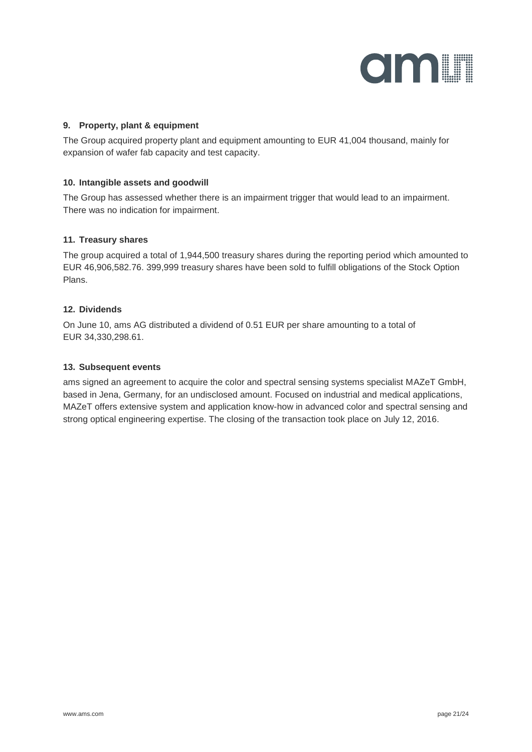

#### **9. Property, plant & equipment**

The Group acquired property plant and equipment amounting to EUR 41,004 thousand, mainly for expansion of wafer fab capacity and test capacity.

#### **10. Intangible assets and goodwill**

The Group has assessed whether there is an impairment trigger that would lead to an impairment. There was no indication for impairment.

#### **11. Treasury shares**

The group acquired a total of 1,944,500 treasury shares during the reporting period which amounted to EUR 46,906,582.76. 399,999 treasury shares have been sold to fulfill obligations of the Stock Option Plans.

#### **12. Dividends**

On June 10, ams AG distributed a dividend of 0.51 EUR per share amounting to a total of EUR 34,330,298.61.

#### **13. Subsequent events**

ams signed an agreement to acquire the color and spectral sensing systems specialist MAZeT GmbH, based in Jena, Germany, for an undisclosed amount. Focused on industrial and medical applications, MAZeT offers extensive system and application know-how in advanced color and spectral sensing and strong optical engineering expertise. The closing of the transaction took place on July 12, 2016.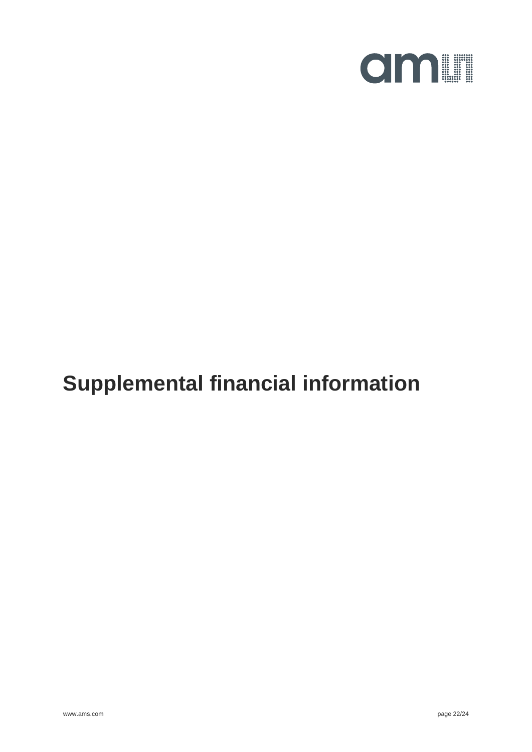

## **Supplemental financial information**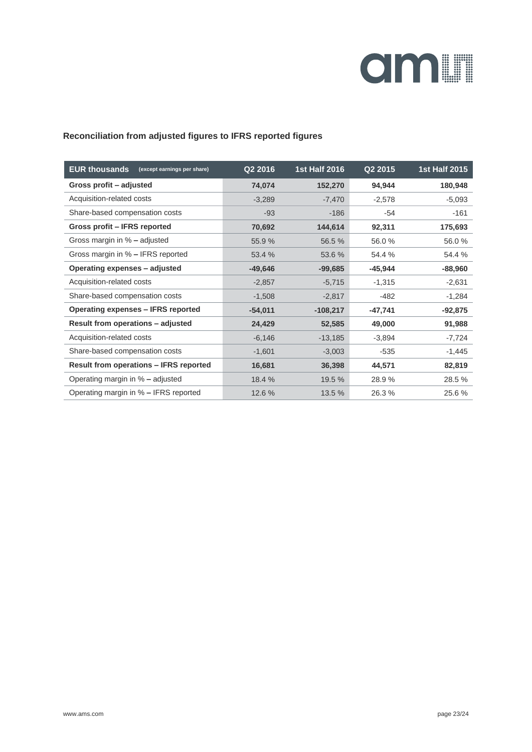

#### **Reconciliation from adjusted figures to IFRS reported figures**

| <b>EUR thousands</b><br>(except earnings per share) | Q2 2016   | <b>1st Half 2016</b> | Q2 2015   | <b>1st Half 2015</b> |
|-----------------------------------------------------|-----------|----------------------|-----------|----------------------|
| Gross profit - adjusted                             | 74,074    | 152,270              | 94,944    | 180,948              |
| Acquisition-related costs                           | $-3,289$  | $-7,470$             | $-2,578$  | $-5,093$             |
| Share-based compensation costs                      | $-93$     | $-186$               | $-54$     | $-161$               |
| Gross profit - IFRS reported                        | 70,692    | 144,614              | 92,311    | 175,693              |
| Gross margin in % - adjusted                        | 55.9%     | 56.5 %               | 56.0%     | 56.0%                |
| Gross margin in % – IFRS reported                   | 53.4 %    | 53.6 %               | 54.4 %    | 54.4 %               |
| Operating expenses - adjusted                       | $-49,646$ | $-99,685$            | $-45,944$ | $-88,960$            |
| Acquisition-related costs                           | $-2,857$  | $-5,715$             | $-1,315$  | $-2,631$             |
| Share-based compensation costs                      | $-1,508$  | $-2,817$             | $-482$    | $-1,284$             |
| Operating expenses - IFRS reported                  | $-54,011$ | $-108,217$           | $-47,741$ | $-92,875$            |
| Result from operations - adjusted                   | 24,429    | 52,585               | 49,000    | 91,988               |
| Acquisition-related costs                           | $-6,146$  | $-13,185$            | $-3,894$  | $-7,724$             |
| Share-based compensation costs                      | $-1,601$  | $-3,003$             | $-535$    | $-1,445$             |
| <b>Result from operations - IFRS reported</b>       | 16,681    | 36,398               | 44,571    | 82,819               |
| Operating margin in % - adjusted                    | 18.4 %    | 19.5 %               | 28.9%     | 28.5 %               |
| Operating margin in % - IFRS reported               | 12.6 %    | 13.5 %               | 26.3%     | 25.6%                |